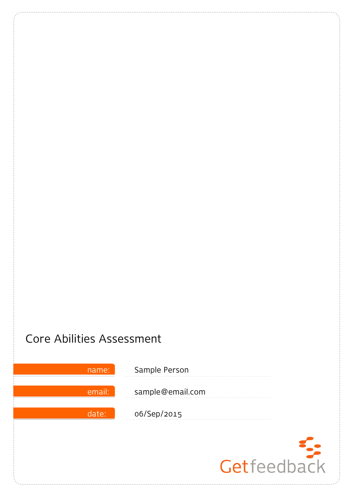# Core Abilities Assessment

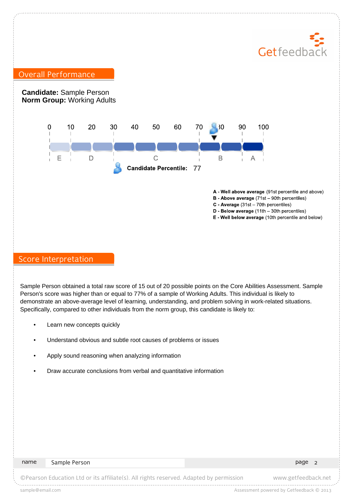# Getfeedbac

# Overall Performance

**Candidate:** Sample Person **Norm Group:** Working Adults



- A Well above average (91st percentile and above)
- **B** Above average  $(71st 90th$  percentiles)
- $C$  Average (31st 70th percentiles)
- $D$  Below average (11th 30th percentiles)
- E Well below average (10th percentile and below)

### Score Interpretation

Sample Person obtained a total raw score of 15 out of 20 possible points on the Core Abilities Assessment. Sample Person's score was higher than or equal to 77% of a sample of Working Adults. This individual is likely to demonstrate an above-average level of learning, understanding, and problem solving in work-related situations. Specifically, compared to other individuals from the norm group, this candidate is likely to:

- Learn new concepts quickly
- Understand obvious and subtle root causes of problems or issues
- Apply sound reasoning when analyzing information
- Draw accurate conclusions from verbal and quantitative information

#### name Sample Person 2008 and 2009 and 2009 and 2009 and 2009 and 2009 and 2009 and 2009 and 2009 and 2009 and 2

©Pearson Education Ltd or its affiliate(s). All rights reserved. Adapted by permission www.getfeedback.net

sample@email.com and the sample of the state of the state of the state of the state of the state of the state of the state of the state of the state of the state of the state of the state of the state of the state of the s